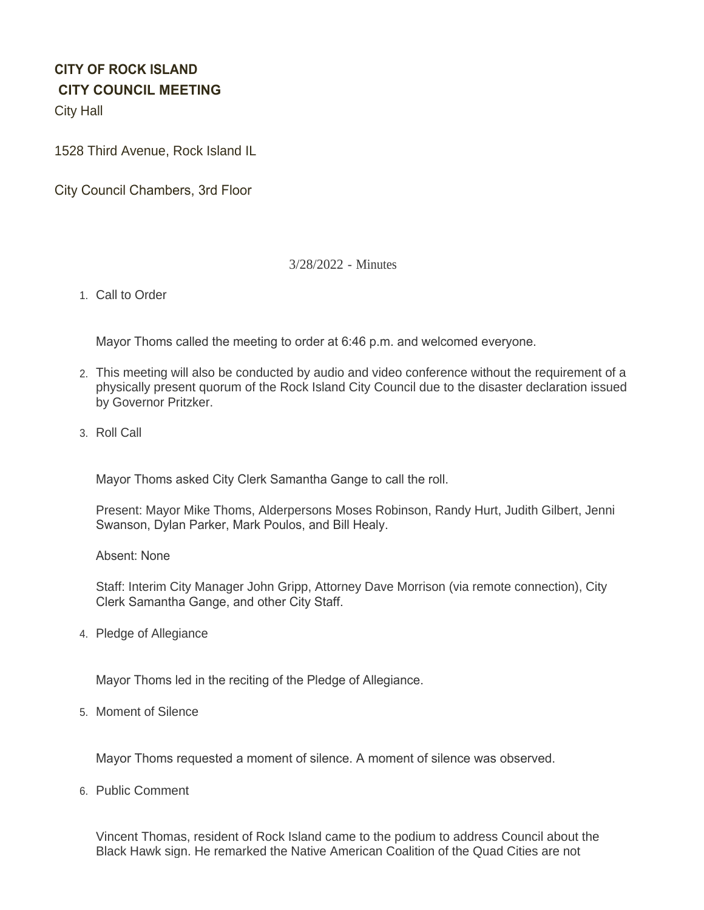# **CITY OF ROCK ISLAND CITY COUNCIL MEETING**

City Hall

1528 Third Avenue, Rock Island IL

City Council Chambers, 3rd Floor

# 3/28/2022 - Minutes

1. Call to Order

Mayor Thoms called the meeting to order at 6:46 p.m. and welcomed everyone.

- This meeting will also be conducted by audio and video conference without the requirement of a 2. physically present quorum of the Rock Island City Council due to the disaster declaration issued by Governor Pritzker.
- 3. Roll Call

Mayor Thoms asked City Clerk Samantha Gange to call the roll.

Present: Mayor Mike Thoms, Alderpersons Moses Robinson, Randy Hurt, Judith Gilbert, Jenni Swanson, Dylan Parker, Mark Poulos, and Bill Healy.

Absent: None

Staff: Interim City Manager John Gripp, Attorney Dave Morrison (via remote connection), City Clerk Samantha Gange, and other City Staff.

4. Pledge of Allegiance

Mayor Thoms led in the reciting of the Pledge of Allegiance.

5. Moment of Silence

Mayor Thoms requested a moment of silence. A moment of silence was observed.

6. Public Comment

Vincent Thomas, resident of Rock Island came to the podium to address Council about the Black Hawk sign. He remarked the Native American Coalition of the Quad Cities are not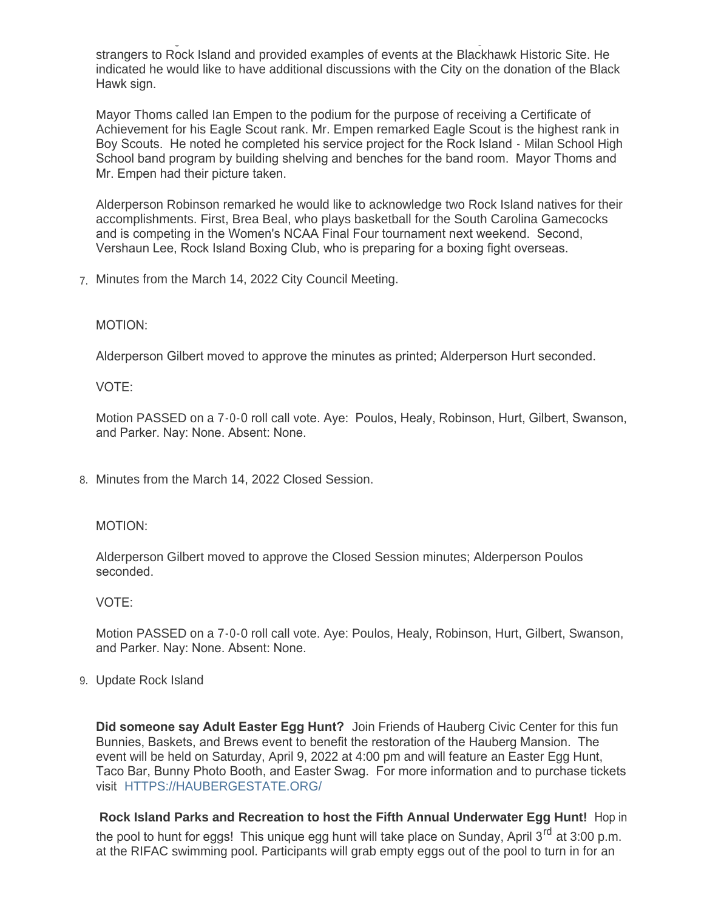Black Hawk sign. He remarked the Native American Coalition of the Quad Cities are not strangers to Rock Island and provided examples of events at the Blackhawk Historic Site. He indicated he would like to have additional discussions with the City on the donation of the Black Hawk sign.

Mayor Thoms called Ian Empen to the podium for the purpose of receiving a Certificate of Achievement for his Eagle Scout rank. Mr. Empen remarked Eagle Scout is the highest rank in Boy Scouts. He noted he completed his service project for the Rock Island - Milan School High School band program by building shelving and benches for the band room. Mayor Thoms and Mr. Empen had their picture taken.

Alderperson Robinson remarked he would like to acknowledge two Rock Island natives for their accomplishments. First, Brea Beal, who plays basketball for the South Carolina Gamecocks and is competing in the Women's NCAA Final Four tournament next weekend. Second, Vershaun Lee, Rock Island Boxing Club, who is preparing for a boxing fight overseas.

Minutes from the March 14, 2022 City Council Meeting. 7.

# MOTION:

Alderperson Gilbert moved to approve the minutes as printed; Alderperson Hurt seconded.

VOTE:

Motion PASSED on a 7-0-0 roll call vote. Aye: Poulos, Healy, Robinson, Hurt, Gilbert, Swanson, and Parker. Nay: None. Absent: None.

8. Minutes from the March 14, 2022 Closed Session.

#### MOTION:

Alderperson Gilbert moved to approve the Closed Session minutes; Alderperson Poulos seconded.

VOTE:

Motion PASSED on a 7-0-0 roll call vote. Aye: Poulos, Healy, Robinson, Hurt, Gilbert, Swanson, and Parker. Nay: None. Absent: None.

Update Rock Island 9.

**Did someone say Adult Easter Egg Hunt?** Join Friends of Hauberg Civic Center for this fun Bunnies, Baskets, and Brews event to benefit the restoration of the Hauberg Mansion. The event will be held on Saturday, April 9, 2022 at 4:00 pm and will feature an Easter Egg Hunt, Taco Bar, Bunny Photo Booth, and Easter Swag. For more information and to purchase tickets visit [HTTPS://HAUBERGESTATE.ORG/](https://haubergestate.org/)

**Rock Island Parks and Recreation to host the Fifth Annual Underwater Egg Hunt!** Hop in the pool to hunt for eggs! This unique egg hunt will take place on Sunday, April  $3^{rd}$  at 3:00 p.m. at the RIFAC swimming pool. Participants will grab empty eggs out of the pool to turn in for an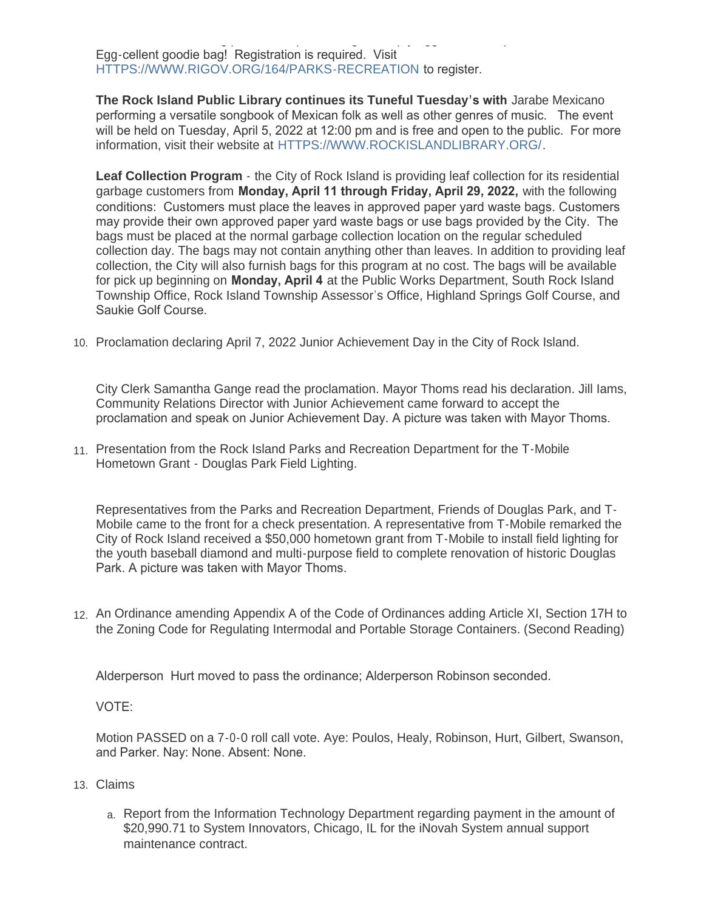at the RIFAC swimming pool. Participants will grab empty eggs out of the pool to turn in for an Egg-cellent goodie bag! Registration is required. Visit [HTTPS://WWW.RIGOV.ORG/164/PARKS-RECREATION](https://www.rigov.org/164/Parks-Recreation) to register.

**The Rock Island Public Library continues its Tuneful Tuesday's with** Jarabe Mexicano performing a versatile songbook of Mexican folk as well as other genres of music. The event will be held on Tuesday, April 5, 2022 at 12:00 pm and is free and open to the public. For more information, visit their website at [HTTPS://WWW.ROCKISLANDLIBRARY.ORG/](https://www.rockislandlibrary.org/).

**Leaf Collection Program** - the City of Rock Island is providing leaf collection for its residential garbage customers from **Monday, April 11 through Friday, April 29, 2022,** with the following conditions: Customers must place the leaves in approved paper yard waste bags. Customers may provide their own approved paper yard waste bags or use bags provided by the City. The bags must be placed at the normal garbage collection location on the regular scheduled collection day. The bags may not contain anything other than leaves. In addition to providing leaf collection, the City will also furnish bags for this program at no cost. The bags will be available for pick up beginning on **Monday, April 4** at the Public Works Department, South Rock Island Township Office, Rock Island Township Assessor's Office, Highland Springs Golf Course, and Saukie Golf Course.

10. Proclamation declaring April 7, 2022 Junior Achievement Day in the City of Rock Island.

City Clerk Samantha Gange read the proclamation. Mayor Thoms read his declaration. Jill Iams, Community Relations Director with Junior Achievement came forward to accept the proclamation and speak on Junior Achievement Day. A picture was taken with Mayor Thoms.

11. Presentation from the Rock Island Parks and Recreation Department for the T-Mobile Hometown Grant - Douglas Park Field Lighting.

Representatives from the Parks and Recreation Department, Friends of Douglas Park, and T-Mobile came to the front for a check presentation. A representative from T-Mobile remarked the City of Rock Island received a \$50,000 hometown grant from T-Mobile to install field lighting for the youth baseball diamond and multi-purpose field to complete renovation of historic Douglas Park. A picture was taken with Mayor Thoms.

12. An Ordinance amending Appendix A of the Code of Ordinances adding Article XI, Section 17H to the Zoning Code for Regulating Intermodal and Portable Storage Containers. (Second Reading)

Alderperson Hurt moved to pass the ordinance; Alderperson Robinson seconded.

#### VOTE:

Motion PASSED on a 7-0-0 roll call vote. Aye: Poulos, Healy, Robinson, Hurt, Gilbert, Swanson, and Parker. Nay: None. Absent: None.

- Claims 13.
	- a. Report from the Information Technology Department regarding payment in the amount of \$20,990.71 to System Innovators, Chicago, IL for the iNovah System annual support maintenance contract.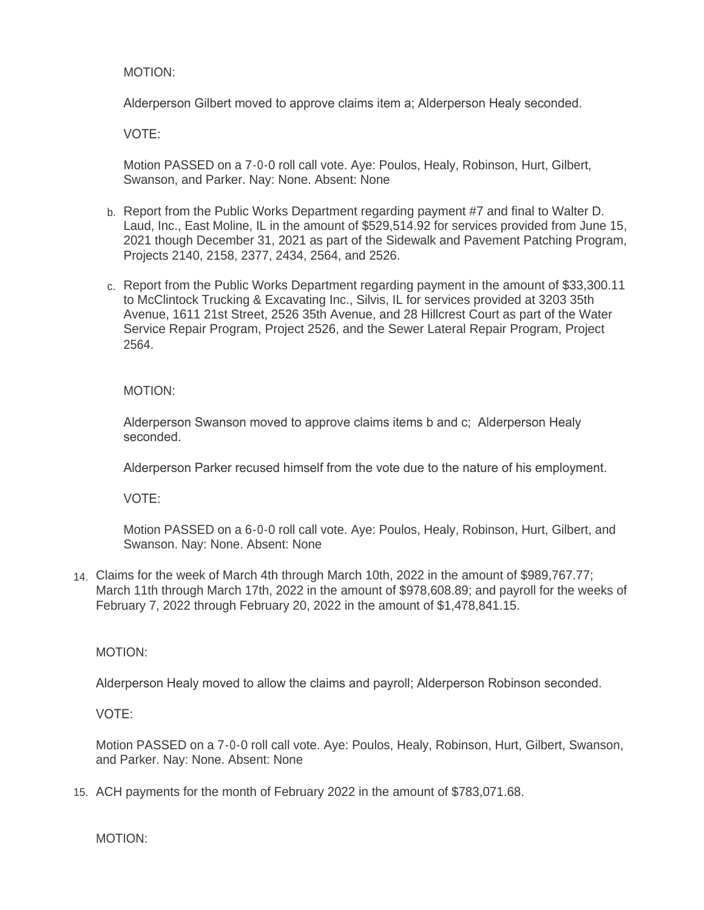# MOTION:

Alderperson Gilbert moved to approve claims item a; Alderperson Healy seconded.

VOTE:

Motion PASSED on a 7-0-0 roll call vote. Aye: Poulos, Healy, Robinson, Hurt, Gilbert, Swanson, and Parker. Nay: None. Absent: None

- b. Report from the Public Works Department regarding payment #7 and final to Walter D. Laud, Inc., East Moline, IL in the amount of \$529,514.92 for services provided from June 15, 2021 though December 31, 2021 as part of the Sidewalk and Pavement Patching Program, Projects 2140, 2158, 2377, 2434, 2564, and 2526.
- c. Report from the Public Works Department regarding payment in the amount of \$33,300.11 to McClintock Trucking & Excavating Inc., Silvis, IL for services provided at 3203 35th Avenue, 1611 21st Street, 2526 35th Avenue, and 28 Hillcrest Court as part of the Water Service Repair Program, Project 2526, and the Sewer Lateral Repair Program, Project 2564.

MOTION:

Alderperson Swanson moved to approve claims items b and c; Alderperson Healy seconded.

Alderperson Parker recused himself from the vote due to the nature of his employment.

VOTE:

Motion PASSED on a 6-0-0 roll call vote. Aye: Poulos, Healy, Robinson, Hurt, Gilbert, and Swanson. Nay: None. Absent: None

Claims for the week of March 4th through March 10th, 2022 in the amount of \$989,767.77; 14. March 11th through March 17th, 2022 in the amount of \$978,608.89; and payroll for the weeks of February 7, 2022 through February 20, 2022 in the amount of \$1,478,841.15.

MOTION:

Alderperson Healy moved to allow the claims and payroll; Alderperson Robinson seconded.

VOTE:

Motion PASSED on a 7-0-0 roll call vote. Aye: Poulos, Healy, Robinson, Hurt, Gilbert, Swanson, and Parker. Nay: None. Absent: None

15. ACH payments for the month of February 2022 in the amount of \$783,071.68.

MOTION: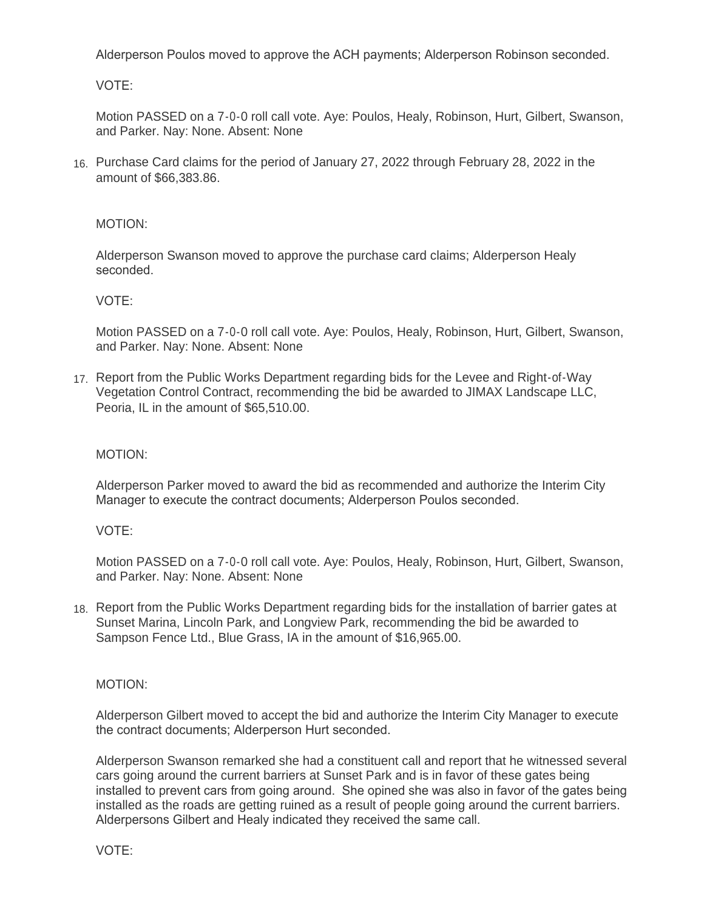Alderperson Poulos moved to approve the ACH payments; Alderperson Robinson seconded.

VOTE:

Motion PASSED on a 7-0-0 roll call vote. Aye: Poulos, Healy, Robinson, Hurt, Gilbert, Swanson, and Parker. Nay: None. Absent: None

Purchase Card claims for the period of January 27, 2022 through February 28, 2022 in the 16. amount of \$66,383.86.

# MOTION:

Alderperson Swanson moved to approve the purchase card claims; Alderperson Healy seconded.

# VOTE:

Motion PASSED on a 7-0-0 roll call vote. Aye: Poulos, Healy, Robinson, Hurt, Gilbert, Swanson, and Parker. Nay: None. Absent: None

17. Report from the Public Works Department regarding bids for the Levee and Right-of-Way Vegetation Control Contract, recommending the bid be awarded to JIMAX Landscape LLC, Peoria, IL in the amount of \$65,510.00.

## MOTION:

Alderperson Parker moved to award the bid as recommended and authorize the Interim City Manager to execute the contract documents; Alderperson Poulos seconded.

#### VOTE:

Motion PASSED on a 7-0-0 roll call vote. Aye: Poulos, Healy, Robinson, Hurt, Gilbert, Swanson, and Parker. Nay: None. Absent: None

18. Report from the Public Works Department regarding bids for the installation of barrier gates at Sunset Marina, Lincoln Park, and Longview Park, recommending the bid be awarded to Sampson Fence Ltd., Blue Grass, IA in the amount of \$16,965.00.

## MOTION:

Alderperson Gilbert moved to accept the bid and authorize the Interim City Manager to execute the contract documents; Alderperson Hurt seconded.

Alderperson Swanson remarked she had a constituent call and report that he witnessed several cars going around the current barriers at Sunset Park and is in favor of these gates being installed to prevent cars from going around. She opined she was also in favor of the gates being installed as the roads are getting ruined as a result of people going around the current barriers. Alderpersons Gilbert and Healy indicated they received the same call.

VOTE: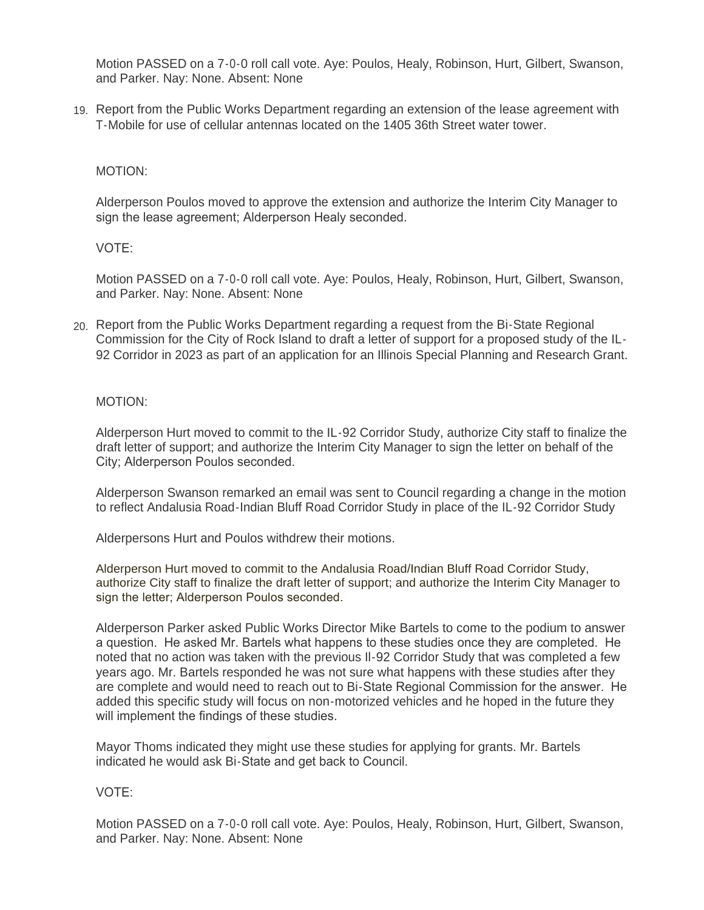Motion PASSED on a 7-0-0 roll call vote. Aye: Poulos, Healy, Robinson, Hurt, Gilbert, Swanson, and Parker. Nay: None. Absent: None

19. Report from the Public Works Department regarding an extension of the lease agreement with T-Mobile for use of cellular antennas located on the 1405 36th Street water tower.

# MOTION:

Alderperson Poulos moved to approve the extension and authorize the Interim City Manager to sign the lease agreement; Alderperson Healy seconded.

# VOTE:

Motion PASSED on a 7-0-0 roll call vote. Aye: Poulos, Healy, Robinson, Hurt, Gilbert, Swanson, and Parker. Nay: None. Absent: None

Report from the Public Works Department regarding a request from the Bi-State Regional 20. Commission for the City of Rock Island to draft a letter of support for a proposed study of the IL-92 Corridor in 2023 as part of an application for an Illinois Special Planning and Research Grant.

#### MOTION:

Alderperson Hurt moved to commit to the IL-92 Corridor Study, authorize City staff to finalize the draft letter of support; and authorize the Interim City Manager to sign the letter on behalf of the City; Alderperson Poulos seconded.

Alderperson Swanson remarked an email was sent to Council regarding a change in the motion to reflect Andalusia Road-Indian Bluff Road Corridor Study in place of the IL-92 Corridor Study

Alderpersons Hurt and Poulos withdrew their motions.

Alderperson Hurt moved to commit to the Andalusia Road/Indian Bluff Road Corridor Study, authorize City staff to finalize the draft letter of support; and authorize the Interim City Manager to sign the letter; Alderperson Poulos seconded.

Alderperson Parker asked Public Works Director Mike Bartels to come to the podium to answer a question. He asked Mr. Bartels what happens to these studies once they are completed. He noted that no action was taken with the previous Il-92 Corridor Study that was completed a few years ago. Mr. Bartels responded he was not sure what happens with these studies after they are complete and would need to reach out to Bi-State Regional Commission for the answer. He added this specific study will focus on non-motorized vehicles and he hoped in the future they will implement the findings of these studies.

Mayor Thoms indicated they might use these studies for applying for grants. Mr. Bartels indicated he would ask Bi-State and get back to Council.

# VOTE:

Motion PASSED on a 7-0-0 roll call vote. Aye: Poulos, Healy, Robinson, Hurt, Gilbert, Swanson, and Parker. Nay: None. Absent: None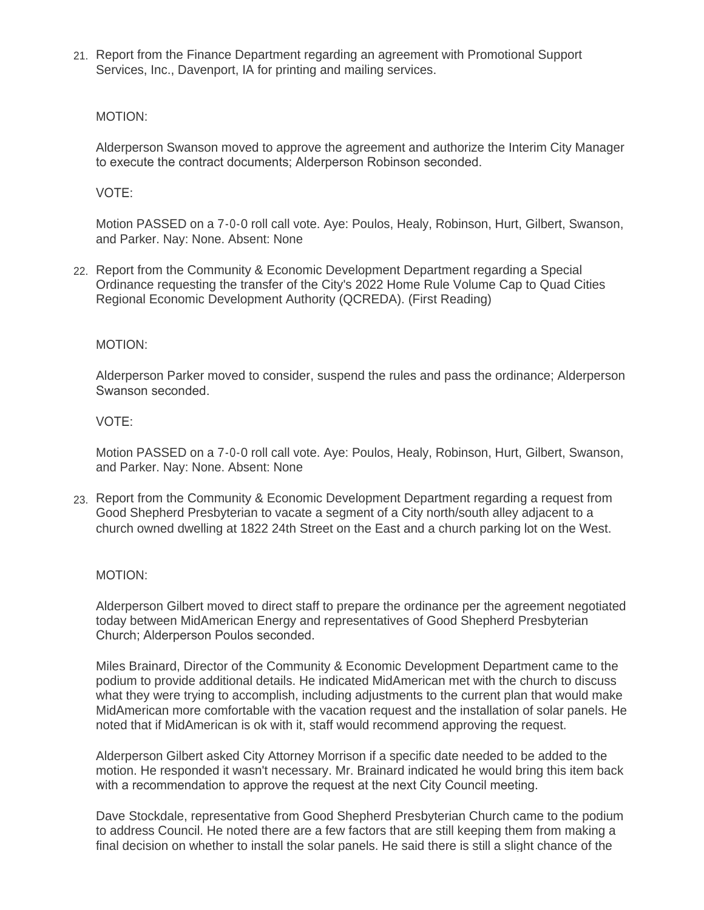21. Report from the Finance Department regarding an agreement with Promotional Support Services, Inc., Davenport, IA for printing and mailing services.

## MOTION:

Alderperson Swanson moved to approve the agreement and authorize the Interim City Manager to execute the contract documents; Alderperson Robinson seconded.

# VOTE:

Motion PASSED on a 7-0-0 roll call vote. Aye: Poulos, Healy, Robinson, Hurt, Gilbert, Swanson, and Parker. Nay: None. Absent: None

22. Report from the Community & Economic Development Department regarding a Special Ordinance requesting the transfer of the City's 2022 Home Rule Volume Cap to Quad Cities Regional Economic Development Authority (QCREDA). (First Reading)

#### MOTION:

Alderperson Parker moved to consider, suspend the rules and pass the ordinance; Alderperson Swanson seconded.

#### VOTE:

Motion PASSED on a 7-0-0 roll call vote. Aye: Poulos, Healy, Robinson, Hurt, Gilbert, Swanson, and Parker. Nay: None. Absent: None

23. Report from the Community & Economic Development Department regarding a request from Good Shepherd Presbyterian to vacate a segment of a City north/south alley adjacent to a church owned dwelling at 1822 24th Street on the East and a church parking lot on the West.

#### MOTION:

Alderperson Gilbert moved to direct staff to prepare the ordinance per the agreement negotiated today between MidAmerican Energy and representatives of Good Shepherd Presbyterian Church; Alderperson Poulos seconded.

Miles Brainard, Director of the Community & Economic Development Department came to the podium to provide additional details. He indicated MidAmerican met with the church to discuss what they were trying to accomplish, including adjustments to the current plan that would make MidAmerican more comfortable with the vacation request and the installation of solar panels. He noted that if MidAmerican is ok with it, staff would recommend approving the request.

Alderperson Gilbert asked City Attorney Morrison if a specific date needed to be added to the motion. He responded it wasn't necessary. Mr. Brainard indicated he would bring this item back with a recommendation to approve the request at the next City Council meeting.

Dave Stockdale, representative from Good Shepherd Presbyterian Church came to the podium to address Council. He noted there are a few factors that are still keeping them from making a final decision on whether to install the solar panels. He said there is still a slight chance of the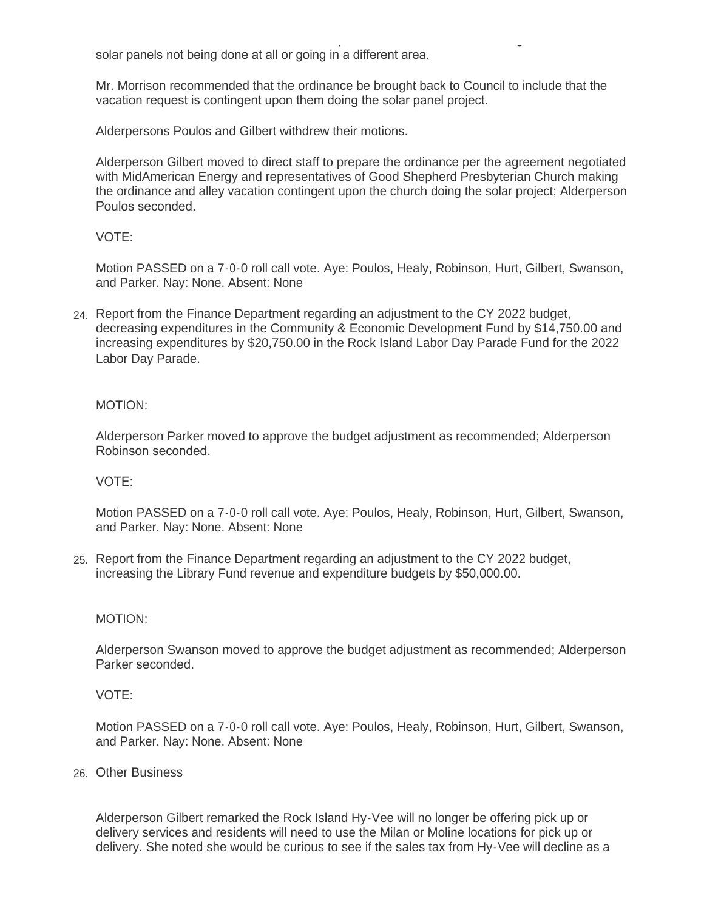final decision on whether to install the solar panels. He said there is still a slight chance of the solar panels not being done at all or going in a different area.

Mr. Morrison recommended that the ordinance be brought back to Council to include that the vacation request is contingent upon them doing the solar panel project.

Alderpersons Poulos and Gilbert withdrew their motions.

Alderperson Gilbert moved to direct staff to prepare the ordinance per the agreement negotiated with MidAmerican Energy and representatives of Good Shepherd Presbyterian Church making the ordinance and alley vacation contingent upon the church doing the solar project; Alderperson Poulos seconded.

VOTE:

Motion PASSED on a 7-0-0 roll call vote. Aye: Poulos, Healy, Robinson, Hurt, Gilbert, Swanson, and Parker. Nay: None. Absent: None

Report from the Finance Department regarding an adjustment to the CY 2022 budget, 24. decreasing expenditures in the Community & Economic Development Fund by \$14,750.00 and increasing expenditures by \$20,750.00 in the Rock Island Labor Day Parade Fund for the 2022 Labor Day Parade.

# MOTION:

Alderperson Parker moved to approve the budget adjustment as recommended; Alderperson Robinson seconded.

## VOTE:

Motion PASSED on a 7-0-0 roll call vote. Aye: Poulos, Healy, Robinson, Hurt, Gilbert, Swanson, and Parker. Nay: None. Absent: None

25. Report from the Finance Department regarding an adjustment to the CY 2022 budget, increasing the Library Fund revenue and expenditure budgets by \$50,000.00.

#### MOTION:

Alderperson Swanson moved to approve the budget adjustment as recommended; Alderperson Parker seconded.

## VOTE:

Motion PASSED on a 7-0-0 roll call vote. Aye: Poulos, Healy, Robinson, Hurt, Gilbert, Swanson, and Parker. Nay: None. Absent: None

# Other Business 26.

Alderperson Gilbert remarked the Rock Island Hy-Vee will no longer be offering pick up or delivery services and residents will need to use the Milan or Moline locations for pick up or delivery. She noted she would be curious to see if the sales tax from Hy-Vee will decline as a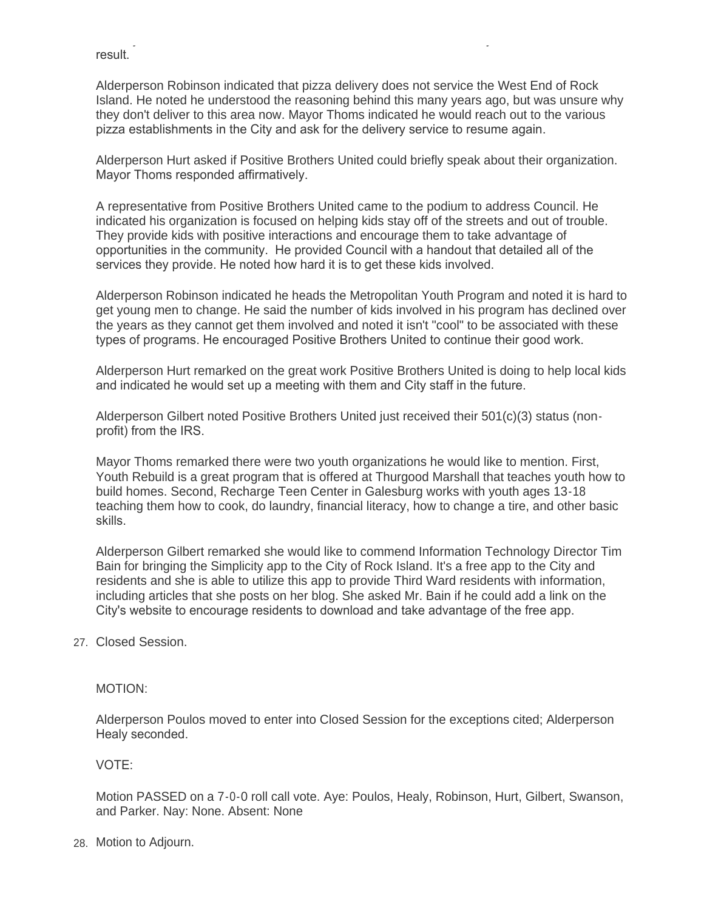result.

Alderperson Robinson indicated that pizza delivery does not service the West End of Rock Island. He noted he understood the reasoning behind this many years ago, but was unsure why they don't deliver to this area now. Mayor Thoms indicated he would reach out to the various pizza establishments in the City and ask for the delivery service to resume again.

delivery. She noted she would be curious to see if the sales tax from Hy-Vee will decline as a

Alderperson Hurt asked if Positive Brothers United could briefly speak about their organization. Mayor Thoms responded affirmatively.

A representative from Positive Brothers United came to the podium to address Council. He indicated his organization is focused on helping kids stay off of the streets and out of trouble. They provide kids with positive interactions and encourage them to take advantage of opportunities in the community. He provided Council with a handout that detailed all of the services they provide. He noted how hard it is to get these kids involved.

Alderperson Robinson indicated he heads the Metropolitan Youth Program and noted it is hard to get young men to change. He said the number of kids involved in his program has declined over the years as they cannot get them involved and noted it isn't "cool" to be associated with these types of programs. He encouraged Positive Brothers United to continue their good work.

Alderperson Hurt remarked on the great work Positive Brothers United is doing to help local kids and indicated he would set up a meeting with them and City staff in the future.

Alderperson Gilbert noted Positive Brothers United just received their 501(c)(3) status (nonprofit) from the IRS.

Mayor Thoms remarked there were two youth organizations he would like to mention. First, Youth Rebuild is a great program that is offered at Thurgood Marshall that teaches youth how to build homes. Second, Recharge Teen Center in Galesburg works with youth ages 13-18 teaching them how to cook, do laundry, financial literacy, how to change a tire, and other basic skills.

Alderperson Gilbert remarked she would like to commend Information Technology Director Tim Bain for bringing the Simplicity app to the City of Rock Island. It's a free app to the City and residents and she is able to utilize this app to provide Third Ward residents with information, including articles that she posts on her blog. She asked Mr. Bain if he could add a link on the City's website to encourage residents to download and take advantage of the free app.

# 27. Closed Session.

#### MOTION:

Alderperson Poulos moved to enter into Closed Session for the exceptions cited; Alderperson Healy seconded.

# VOTE:

Motion PASSED on a 7-0-0 roll call vote. Aye: Poulos, Healy, Robinson, Hurt, Gilbert, Swanson, and Parker. Nay: None. Absent: None

Motion to Adjourn. 28.